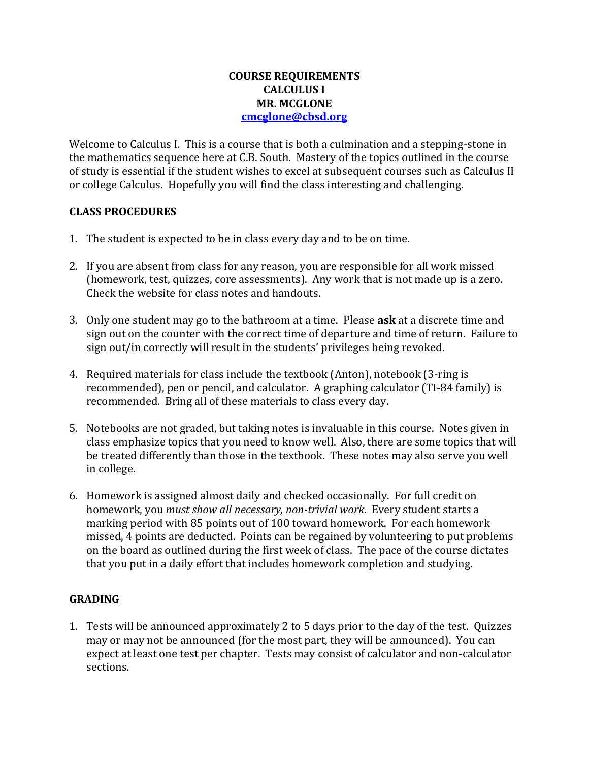### **COURSE REQUIREMENTS CALCULUS I MR. MCGLONE [cmcglone@cbsd.org](mailto:cmcglone@cbsd.org)**

Welcome to Calculus I. This is a course that is both a culmination and a stepping-stone in the mathematics sequence here at C.B. South. Mastery of the topics outlined in the course of study is essential if the student wishes to excel at subsequent courses such as Calculus II or college Calculus. Hopefully you will find the class interesting and challenging.

## **CLASS PROCEDURES**

- 1. The student is expected to be in class every day and to be on time.
- 2. If you are absent from class for any reason, you are responsible for all work missed (homework, test, quizzes, core assessments). Any work that is not made up is a zero. Check the website for class notes and handouts.
- 3. Only one student may go to the bathroom at a time. Please **ask** at a discrete time and sign out on the counter with the correct time of departure and time of return. Failure to sign out/in correctly will result in the students' privileges being revoked.
- 4. Required materials for class include the textbook (Anton), notebook (3-ring is recommended), pen or pencil, and calculator. A graphing calculator (TI-84 family) is recommended. Bring all of these materials to class every day.
- 5. Notebooks are not graded, but taking notes is invaluable in this course. Notes given in class emphasize topics that you need to know well. Also, there are some topics that will be treated differently than those in the textbook. These notes may also serve you well in college.
- 6. Homework is assigned almost daily and checked occasionally. For full credit on homework, you *must show all necessary, non-trivial work*. Every student starts a marking period with 85 points out of 100 toward homework. For each homework missed, 4 points are deducted. Points can be regained by volunteering to put problems on the board as outlined during the first week of class. The pace of the course dictates that you put in a daily effort that includes homework completion and studying.

# **GRADING**

1. Tests will be announced approximately 2 to 5 days prior to the day of the test. Quizzes may or may not be announced (for the most part, they will be announced). You can expect at least one test per chapter. Tests may consist of calculator and non-calculator sections.